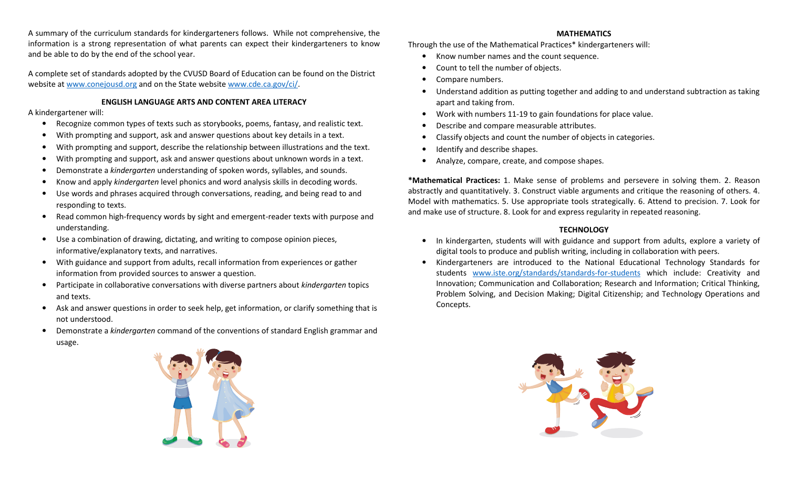A summary of the curriculum standards for kindergarteners follows. While not comprehensive, the information is a strong representation of what parents can expect their kindergarteners to know and be able to do by the end of the school year.

A complete set of standards adopted by the CVUSD Board of Education can be found on the District website at www.conejousd.org and on the State website www.cde.ca.gov/ci/.

# ENGLISH LANGUAGE ARTS AND CONTENT AREA LITERACY

## A kindergartener will:

- •Recognize common types of texts such as storybooks, poems, fantasy, and realistic text.
- •With prompting and support, ask and answer questions about key details in a text.
- •With prompting and support, describe the relationship between illustrations and the text.
- •With prompting and support, ask and answer questions about unknown words in a text.
- •Demonstrate a kindergarten understanding of spoken words, syllables, and sounds.
- •Know and apply kindergarten level phonics and word analysis skills in decoding words.
- • Use words and phrases acquired through conversations, reading, and being read to and responding to texts.
- • Read common high-frequency words by sight and emergent-reader texts with purpose and understanding.
- $\bullet$  Use a combination of drawing, dictating, and writing to compose opinion pieces, informative/explanatory texts, and narratives.
- $\bullet$  With guidance and support from adults, recall information from experiences or gather information from provided sources to answer a question.
- •Participate in collaborative conversations with diverse partners about kindergarten topics and texts.
- $\bullet$  Ask and answer questions in order to seek help, get information, or clarify something that is not understood.
- • Demonstrate a kindergarten command of the conventions of standard English grammar and usage.

## MATHEMATICS

Through the use of the Mathematical Practices\* kindergarteners will:

- $\bullet$ Know number names and the count sequence.
- •Count to tell the number of objects.
- •Compare numbers.
- $\bullet$  Understand addition as putting together and adding to and understand subtraction as taking apart and taking from.
- •Work with numbers 11-19 to gain foundations for place value.
- •Describe and compare measurable attributes.
- •Classify objects and count the number of objects in categories.
- •Identify and describe shapes.
- •Analyze, compare, create, and compose shapes.

\*Mathematical Practices: 1. Make sense of problems and persevere in solving them. 2. Reason abstractly and quantitatively. 3. Construct viable arguments and critique the reasoning of others. 4. Model with mathematics. 5. Use appropriate tools strategically. 6. Attend to precision. 7. Look for and make use of structure. 8. Look for and express regularity in repeated reasoning.

## **TECHNOLOGY**

- • In kindergarten, students will with guidance and support from adults, explore a variety of digital tools to produce and publish writing, including in collaboration with peers.
- • Kindergarteners are introduced to the National Educational Technology Standards for students www.iste.org/standards/standards-for-students which include: Creativity and Innovation; Communication and Collaboration; Research and Information; Critical Thinking, Problem Solving, and Decision Making; Digital Citizenship; and Technology Operations and Concepts.